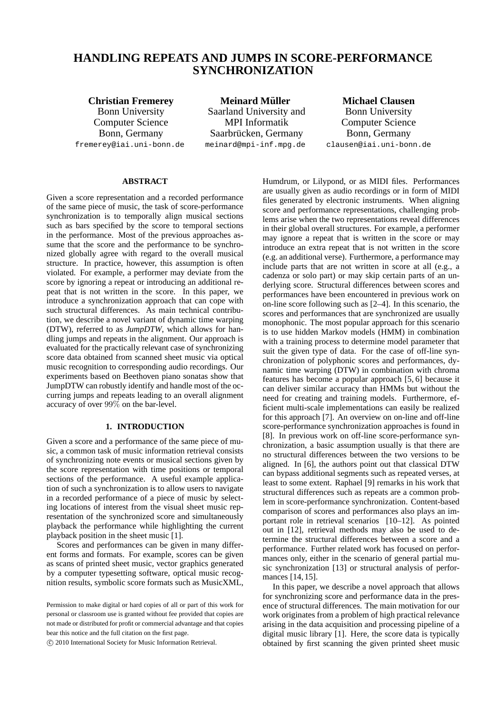# **HANDLING REPEATS AND JUMPS IN SCORE-PERFORMANCE SYNCHRONIZATION**

**Christian Fremerey** Bonn University Computer Science Bonn, Germany fremerey@iai.uni-bonn.de

**Meinard Muller ¨** Saarland University and MPI Informatik Saarbrücken, Germany meinard@mpi-inf.mpg.de

**Michael Clausen** Bonn University Computer Science Bonn, Germany clausen@iai.uni-bonn.de

## **ABSTRACT**

Given a score representation and a recorded performance of the same piece of music, the task of score-performance synchronization is to temporally align musical sections such as bars specified by the score to temporal sections in the performance. Most of the previous approaches assume that the score and the performance to be synchronized globally agree with regard to the overall musical structure. In practice, however, this assumption is often violated. For example, a performer may deviate from the score by ignoring a repeat or introducing an additional repeat that is not written in the score. In this paper, we introduce a synchronization approach that can cope with such structural differences. As main technical contribution, we describe a novel variant of dynamic time warping (DTW), referred to as *JumpDTW*, which allows for handling jumps and repeats in the alignment. Our approach is evaluated for the practically relevant case of synchronizing score data obtained from scanned sheet music via optical music recognition to corresponding audio recordings. Our experiments based on Beethoven piano sonatas show that JumpDTW can robustly identify and handle most of the occurring jumps and repeats leading to an overall alignment accuracy of over 99% on the bar-level.

## **1. INTRODUCTION**

Given a score and a performance of the same piece of music, a common task of music information retrieval consists of synchronizing note events or musical sections given by the score representation with time positions or temporal sections of the performance. A useful example application of such a synchronization is to allow users to navigate in a recorded performance of a piece of music by selecting locations of interest from the visual sheet music representation of the synchronized score and simultaneously playback the performance while highlighting the current playback position in the sheet music [1].

Scores and performances can be given in many different forms and formats. For example, scores can be given as scans of printed sheet music, vector graphics generated by a computer typesetting software, optical music recognition results, symbolic score formats such as MusicXML,

c 2010 International Society for Music Information Retrieval.

Humdrum, or Lilypond, or as MIDI files. Performances are usually given as audio recordings or in form of MIDI files generated by electronic instruments. When aligning score and performance representations, challenging problems arise when the two representations reveal differences in their global overall structures. For example, a performer may ignore a repeat that is written in the score or may introduce an extra repeat that is not written in the score (e.g. an additional verse). Furthermore, a performance may include parts that are not written in score at all (e.g., a cadenza or solo part) or may skip certain parts of an underlying score. Structural differences between scores and performances have been encountered in previous work on on-line score following such as [2–4]. In this scenario, the scores and performances that are synchronized are usually monophonic. The most popular approach for this scenario is to use hidden Markov models (HMM) in combination with a training process to determine model parameter that suit the given type of data. For the case of off-line synchronization of polyphonic scores and performances, dynamic time warping (DTW) in combination with chroma features has become a popular approach [5, 6] because it can deliver similar accuracy than HMMs but without the need for creating and training models. Furthermore, efficient multi-scale implementations can easily be realized for this approach [7]. An overview on on-line and off-line score-performance synchronization approaches is found in [8]. In previous work on off-line score-performance synchronization, a basic assumption usually is that there are no structural differences between the two versions to be aligned. In [6], the authors point out that classical DTW can bypass additional segments such as repeated verses, at least to some extent. Raphael [9] remarks in his work that structural differences such as repeats are a common problem in score-performance synchronization. Content-based comparison of scores and performances also plays an important role in retrieval scenarios [10–12]. As pointed out in [12], retrieval methods may also be used to determine the structural differences between a score and a performance. Further related work has focused on performances only, either in the scenario of general partial music synchronization [13] or structural analysis of performances [14, 15].

In this paper, we describe a novel approach that allows for synchronizing score and performance data in the presence of structural differences. The main motivation for our work originates from a problem of high practical relevance arising in the data acquisition and processing pipeline of a digital music library [1]. Here, the score data is typically obtained by first scanning the given printed sheet music

Permission to make digital or hard copies of all or part of this work for personal or classroom use is granted without fee provided that copies are not made or distributed for profit or commercial advantage and that copies bear this notice and the full citation on the first page.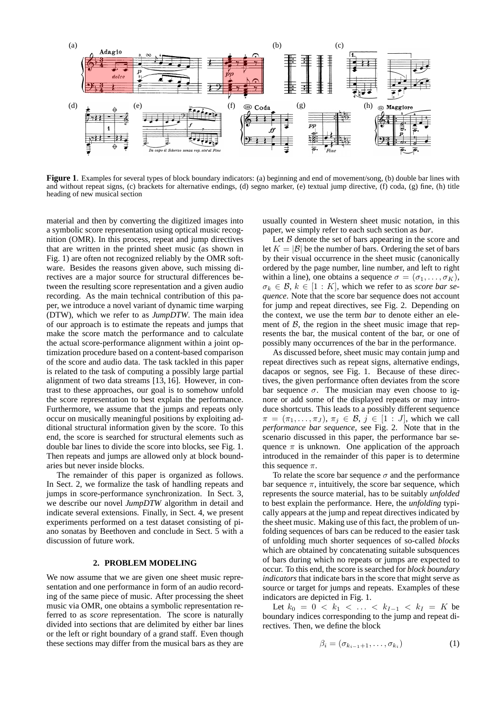

**Figure 1**. Examples for several types of block boundary indicators: (a) beginning and end of movement/song, (b) double bar lines with and without repeat signs, (c) brackets for alternative endings, (d) segno marker, (e) textual jump directive, (f) coda, (g) fine, (h) title heading of new musical section

material and then by converting the digitized images into a symbolic score representation using optical music recognition (OMR). In this process, repeat and jump directives that are written in the printed sheet music (as shown in Fig. 1) are often not recognized reliably by the OMR software. Besides the reasons given above, such missing directives are a major source for structural differences between the resulting score representation and a given audio recording. As the main technical contribution of this paper, we introduce a novel variant of dynamic time warping (DTW), which we refer to as *JumpDTW*. The main idea of our approach is to estimate the repeats and jumps that make the score match the performance and to calculate the actual score-performance alignment within a joint optimization procedure based on a content-based comparison of the score and audio data. The task tackled in this paper is related to the task of computing a possibly large partial alignment of two data streams [13, 16]. However, in contrast to these approaches, our goal is to somehow unfold the score representation to best explain the performance. Furthermore, we assume that the jumps and repeats only occur on musically meaningful positions by exploiting additional structural information given by the score. To this end, the score is searched for structural elements such as double bar lines to divide the score into blocks, see Fig. 1. Then repeats and jumps are allowed only at block boundaries but never inside blocks.

The remainder of this paper is organized as follows. In Sect. 2, we formalize the task of handling repeats and jumps in score-performance synchronization. In Sect. 3, we describe our novel *JumpDTW* algorithm in detail and indicate several extensions. Finally, in Sect. 4, we present experiments performed on a test dataset consisting of piano sonatas by Beethoven and conclude in Sect. 5 with a discussion of future work.

#### **2. PROBLEM MODELING**

We now assume that we are given one sheet music representation and one performance in form of an audio recording of the same piece of music. After processing the sheet music via OMR, one obtains a symbolic representation referred to as *score* representation. The score is naturally divided into sections that are delimited by either bar lines or the left or right boundary of a grand staff. Even though these sections may differ from the musical bars as they are

usually counted in Western sheet music notation, in this paper, we simply refer to each such section as *bar*.

Let  $B$  denote the set of bars appearing in the score and let  $K = |\mathcal{B}|$  be the number of bars. Ordering the set of bars by their visual occurrence in the sheet music (canonically ordered by the page number, line number, and left to right within a line), one obtains a sequence  $\sigma = (\sigma_1, \ldots, \sigma_K)$ ,  $\sigma_k \in \mathcal{B}, k \in [1:K]$ , which we refer to as *score bar sequence*. Note that the score bar sequence does not account for jump and repeat directives, see Fig. 2. Depending on the context, we use the term *bar* to denote either an element of  $\beta$ , the region in the sheet music image that represents the bar, the musical content of the bar, or one of possibly many occurrences of the bar in the performance.

As discussed before, sheet music may contain jump and repeat directives such as repeat signs, alternative endings, dacapos or segnos, see Fig. 1. Because of these directives, the given performance often deviates from the score bar sequence  $\sigma$ . The musician may even choose to ignore or add some of the displayed repeats or may introduce shortcuts. This leads to a possibly different sequence  $\pi = (\pi_1, \ldots, \pi_J), \pi_j \in \mathcal{B}, j \in [1 : J]$ , which we call *performance bar sequence*, see Fig. 2. Note that in the scenario discussed in this paper, the performance bar sequence  $\pi$  is unknown. One application of the approach introduced in the remainder of this paper is to determine this sequence  $\pi$ .

To relate the score bar sequence  $\sigma$  and the performance bar sequence  $\pi$ , intuitively, the score bar sequence, which represents the source material, has to be suitably *unfolded* to best explain the performance. Here, the *unfolding* typically appears at the jump and repeat directives indicated by the sheet music. Making use of this fact, the problem of unfolding sequences of bars can be reduced to the easier task of unfolding much shorter sequences of so-called *blocks* which are obtained by concatenating suitable subsquences of bars during which no repeats or jumps are expected to occur. To this end, the score is searched for *block boundary indicators* that indicate bars in the score that might serve as source or target for jumps and repeats. Examples of these indicators are depicted in Fig. 1.

Let  $k_0 = 0 < k_1 < \ldots < k_{I-1} < k_I = K$  be boundary indices corresponding to the jump and repeat directives. Then, we define the block

$$
\beta_i = (\sigma_{k_{i-1}+1}, \dots, \sigma_{k_i}) \tag{1}
$$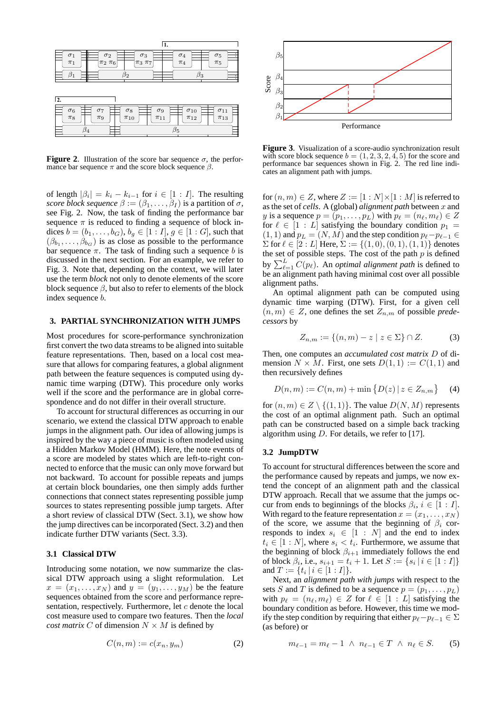

**Figure 2.** Illustration of the score bar sequence  $\sigma$ , the performance bar sequence  $\pi$  and the score block sequence  $\beta$ .

of length  $|\beta_i| = k_i - k_{i-1}$  for  $i \in [1 : I]$ . The resulting *score block sequence*  $\beta := (\beta_1, \dots, \beta_I)$  is a partition of  $\sigma$ , see Fig. 2. Now, the task of finding the performance bar sequence  $\pi$  is reduced to finding a sequence of block indices  $b = (b_1, \ldots, b_G), b_g \in [1 : I], g \in [1 : G]$ , such that  $(\beta_{b_1}, \ldots, \beta_{b_G})$  is as close as possible to the performance bar sequence  $\pi$ . The task of finding such a sequence b is discussed in the next section. For an example, we refer to Fig. 3. Note that, depending on the context, we will later use the term *block* not only to denote elements of the score block sequence  $\beta$ , but also to refer to elements of the block index sequence b.

## **3. PARTIAL SYNCHRONIZATION WITH JUMPS**

Most procedures for score-performance synchronization first convert the two data streams to be aligned into suitable feature representations. Then, based on a local cost measure that allows for comparing features, a global alignment path between the feature sequences is computed using dynamic time warping (DTW). This procedure only works well if the score and the performance are in global correspondence and do not differ in their overall structure.

To account for structural differences as occurring in our scenario, we extend the classical DTW approach to enable jumps in the alignment path. Our idea of allowing jumps is inspired by the way a piece of music is often modeled using a Hidden Markov Model (HMM). Here, the note events of a score are modeled by states which are left-to-right connected to enforce that the music can only move forward but not backward. To account for possible repeats and jumps at certain block boundaries, one then simply adds further connections that connect states representing possible jump sources to states representing possible jump targets. After a short review of classical DTW (Sect. 3.1), we show how the jump directives can be incorporated (Sect. 3.2) and then indicate further DTW variants (Sect. 3.3).

### **3.1 Classical DTW**

Introducing some notation, we now summarize the classical DTW approach using a slight reformulation. Let  $x = (x_1, \ldots, x_N)$  and  $y = (y_1, \ldots, y_M)$  be the feature sequences obtained from the score and performance representation, respectively. Furthermore, let  $c$  denote the local cost measure used to compare two features. Then the *local cost matrix* C of dimension  $N \times M$  is defined by

$$
C(n,m) := c(x_n, y_m) \tag{2}
$$



**Figure 3**. Visualization of a score-audio synchronization result with score block sequence  $b = (1, 2, 3, 2, 4, 5)$  for the score and performance bar sequences shown in Fig. 2. The red line indicates an alignment path with jumps.

for  $(n, m) \in Z$ , where  $Z := [1 : N] \times [1 : M]$  is referred to as the set of *cells*. A (global) *alignment path* between x and y is a sequence  $p = (p_1, \ldots, p_L)$  with  $p_\ell = (n_\ell, m_\ell) \in \mathbb{Z}$ for  $\ell \in [1 : L]$  satisfying the boundary condition  $p_1 =$  $(1, 1)$  and  $p_L = (N, M)$  and the step condition  $p_\ell - p_{\ell-1} \in$  $\Sigma$  for  $\ell \in [2:L]$  Here,  $\Sigma := \{(1,0), (0,1), (1,1)\}\$  denotes the set of possible steps. The cost of the path  $p$  is defined by  $\sum_{\ell=1}^{L} C(p_{\ell})$ . An *optimal alignment path* is defined to be an alignment path having minimal cost over all possible alignment paths.

An optimal alignment path can be computed using dynamic time warping (DTW). First, for a given cell  $(n, m) \in Z$ , one defines the set  $Z_{n,m}$  of possible *predecessors* by

$$
Z_{n,m} := \{(n,m) - z \mid z \in \Sigma\} \cap Z.
$$
 (3)

Then, one computes an *accumulated cost matrix* D of dimension  $N \times M$ . First, one sets  $D(1, 1) := C(1, 1)$  and then recursively defines

$$
D(n, m) := C(n, m) + \min \{ D(z) \mid z \in Z_{n,m} \} \tag{4}
$$

for  $(n, m) \in Z \setminus \{(1, 1)\}\)$ . The value  $D(N, M)$  represents the cost of an optimal alignment path. Such an optimal path can be constructed based on a simple back tracking algorithm using  $D$ . For details, we refer to [17].

#### **3.2 JumpDTW**

To account for structural differences between the score and the performance caused by repeats and jumps, we now extend the concept of an alignment path and the classical DTW approach. Recall that we assume that the jumps occur from ends to beginnings of the blocks  $\beta_i$ ,  $i \in [1 : I]$ . With regard to the feature representation  $x = (x_1, \ldots, x_N)$ of the score, we assume that the beginning of  $\beta_i$  corresponds to index  $s_i \in [1 : N]$  and the end to index  $t_i \in [1:N]$ , where  $s_i < t_i$ . Furthermore, we assume that the beginning of block  $\beta_{i+1}$  immediately follows the end of block  $\beta_i$ , i.e.,  $s_{i+1} = t_i + 1$ . Let  $S := \{ s_i \, | \, i \in [1 : I] \}$ and  $T := \{t_i \mid i \in [1 : I]\}.$ 

Next, an *alignment path with jumps* with respect to the sets S and T is defined to be a sequence  $p = (p_1, \ldots, p_L)$ with  $p_{\ell} = (n_{\ell}, m_{\ell}) \in Z$  for  $\ell \in [1 : L]$  satisfying the boundary condition as before. However, this time we modify the step condition by requiring that either  $p_{\ell} - p_{\ell-1} \in \Sigma$ (as before) or

$$
m_{\ell-1} = m_{\ell} - 1 \ \wedge \ n_{\ell-1} \in T \ \wedge \ n_{\ell} \in S. \tag{5}
$$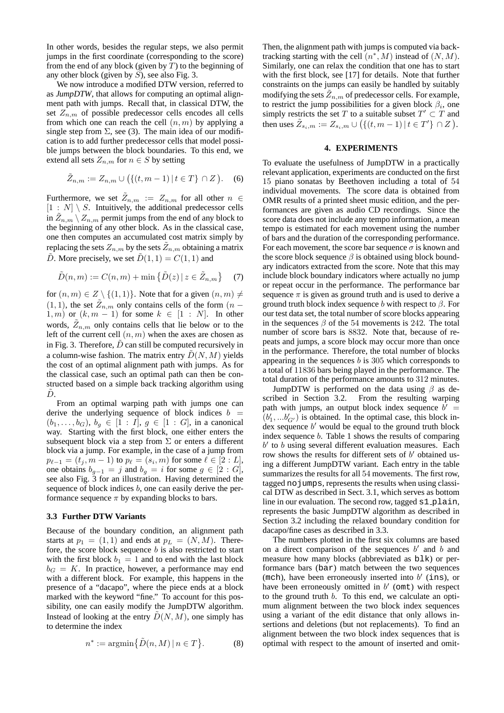In other words, besides the regular steps, we also permit jumps in the first coordinate (corresponding to the score) from the end of any block (given by  $T$ ) to the beginning of any other block (given by  $S$ ), see also Fig. 3.

We now introduce a modified DTW version, referred to as *JumpDTW*, that allows for computing an optimal alignment path with jumps. Recall that, in classical DTW, the set  $Z_{n,m}$  of possible predecessor cells encodes all cells from which one can reach the cell  $(n, m)$  by applying a single step from  $\Sigma$ , see (3). The main idea of our modification is to add further predecessor cells that model possible jumps between the block boundaries. To this end, we extend all sets  $Z_{n,m}$  for  $n \in S$  by setting

$$
\tilde{Z}_{n,m} := Z_{n,m} \cup \big( \{ (t, m-1) \, | \, t \in T \} \cap Z \big).
$$
 (6)

Furthermore, we set  $\tilde{Z}_{n,m} := Z_{n,m}$  for all other  $n \in$  $[1 : N] \setminus S$ . Intuitively, the additional predecessor cells in  $\tilde{Z}_{n,m}\setminus Z_{n,m}$  permit jumps from the end of any block to the beginning of any other block. As in the classical case, one then computes an accumulated cost matrix simply by replacing the sets  $Z_{n,m}$  by the sets  $\tilde{Z}_{n,m}$  obtaining a matrix  $\tilde{D}$ . More precisely, we set  $\tilde{D}(1, 1) = C(1, 1)$  and

$$
\tilde{D}(n,m) := C(n,m) + \min\left\{\tilde{D}(z) \,|\, z \in \tilde{Z}_{n,m}\right\} \tag{7}
$$

for  $(n, m) \in Z \setminus \{(1, 1)\}\)$ . Note that for a given  $(n, m) \neq$  $(1, 1)$ , the set  $\tilde{Z}_{n,m}$  only contains cells of the form  $(n - 1)$  $1, m$ ) or  $(k, m - 1)$  for some  $k \in [1 : N]$ . In other words,  $\tilde{Z}_{n,m}$  only contains cells that lie below or to the left of the current cell  $(n, m)$  when the axes are chosen as in Fig. 3. Therefore,  $\ddot{D}$  can still be computed recursively in a column-wise fashion. The matrix entry  $\tilde{D}(N, M)$  yields the cost of an optimal alignment path with jumps. As for the classical case, such an optimal path can then be constructed based on a simple back tracking algorithm using  $D.$ 

From an optimal warping path with jumps one can derive the underlying sequence of block indices  $b =$  $(b_1, \ldots, b_G), b_g \in [1 : I], g \in [1 : G],$  in a canonical way. Starting with the first block, one either enters the subsequent block via a step from  $\Sigma$  or enters a different block via a jump. For example, in the case of a jump from  $p_{\ell-1}=(t_j,m-1)$  to  $p_{\ell}=(s_i,m)$  for some  $\ell\in[2:L],$ one obtains  $b_{g-1} = j$  and  $b_g = i$  for some  $g \in [2 : G]$ , see also Fig. 3 for an illustration. Having determined the sequence of block indices  $b$ , one can easily derive the performance sequence  $\pi$  by expanding blocks to bars.

#### **3.3 Further DTW Variants**

Because of the boundary condition, an alignment path starts at  $p_1 = (1, 1)$  and ends at  $p_L = (N, M)$ . Therefore, the score block sequence  $b$  is also restricted to start with the first block  $b_1 = 1$  and to end with the last block  $b_G = K$ . In practice, however, a performance may end with a different block. For example, this happens in the presence of a "dacapo", where the piece ends at a block marked with the keyword "fine." To account for this possibility, one can easily modify the JumpDTW algorithm. Instead of looking at the entry  $\tilde{D}(N, M)$ , one simply has to determine the index

$$
n^* := \operatorname{argmin} \{ \tilde{D}(n, M) \, | \, n \in T \}.
$$
 (8)

Then, the alignment path with jumps is computed via backtracking starting with the cell  $(n^*, M)$  instead of  $(N, M)$ . Similarly, one can relax the condition that one has to start with the first block, see [17] for details. Note that further constraints on the jumps can easily be handled by suitably modifying the sets  $\tilde{Z}_{n,m}$  of predecessor cells. For example, to restrict the jump possibilities for a given block  $\beta_i$ , one simply restricts the set T to a suitable subset  $T' \subset T$  and then uses  $\tilde{Z}_{s_i,m} := Z_{s_i,m} \cup (\{(t,m-1) | t \in T'\} \cap Z).$ 

## **4. EXPERIMENTS**

To evaluate the usefulness of JumpDTW in a practically relevant application, experiments are conducted on the first 15 piano sonatas by Beethoven including a total of 54 individual movements. The score data is obtained from OMR results of a printed sheet music edition, and the performances are given as audio CD recordings. Since the score data does not include any tempo information, a mean tempo is estimated for each movement using the number of bars and the duration of the corresponding performance. For each movement, the score bar sequence  $\sigma$  is known and the score block sequence  $\beta$  is obtained using block boundary indicators extracted from the score. Note that this may include block boundary indicators where actually no jump or repeat occur in the performance. The performance bar sequence  $\pi$  is given as ground truth and is used to derive a ground truth block index sequence b with respect to  $\beta$ . For our test data set, the total number of score blocks appearing in the sequences  $\beta$  of the 54 movements is 242. The total number of score bars is 8832. Note that, because of repeats and jumps, a score block may occur more than once in the performance. Therefore, the total number of blocks appearing in the sequences  $b$  is 305 which corresponds to a total of 11836 bars being played in the performance. The total duration of the performance amounts to 312 minutes.

JumpDTW is performed on the data using  $\beta$  as described in Section 3.2. From the resulting warping path with jumps, an output block index sequence  $b' =$  $(b'_1, ... b'_{G'})$  is obtained. In the optimal case, this block in- $\det$  sequence b' would be equal to the ground truth block index sequence b. Table 1 shows the results of comparing  $b'$  to  $b$  using several different evaluation measures. Each row shows the results for different sets of  $b'$  obtained using a different JumpDTW variant. Each entry in the table summarizes the results for all 54 movements. The first row, tagged nojumps, represents the results when using classical DTW as described in Sect. 3.1, which serves as bottom line in our evaluation. The second row, tagged s1 plain, represents the basic JumpDTW algorithm as described in Section 3.2 including the relaxed boundary condition for dacapo/fine cases as described in 3.3.

The numbers plotted in the first six columns are based on a direct comparison of the sequences  $b'$  and  $b$  and measure how many blocks (abbreviated as blk) or performance bars (bar) match between the two sequences (mch), have been erroneously inserted into  $b'$  (ins), or have been erroneously omitted in  $b'$  (omt) with respect to the ground truth b. To this end, we calculate an optimum alignment between the two block index sequences using a variant of the edit distance that only allows insertions and deletions (but not replacements). To find an alignment between the two block index sequences that is optimal with respect to the amount of inserted and omit-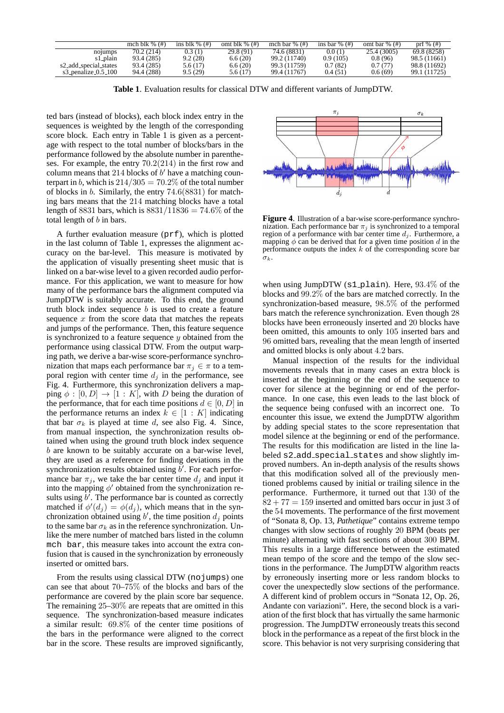|                         | mch blk $\%$ $(\#)$ | ins blk $\%$ (#) | omt blk $\%$ $(\#)$ | mch bar $\%$ (#) | ins bar $\%$ (#) | omt bar % $(\#)$ | prf $\%$ (#) |
|-------------------------|---------------------|------------------|---------------------|------------------|------------------|------------------|--------------|
| no <sub>lumps</sub>     | 70.2 (214)          | 0.3(1)           | 29.8 (91)           | 74.6 (8831)      | 0.0(1)           | 25.4 (3005)      | 69.8 (8258)  |
| s1_plain                | 93.4 (285)          | 9.2(28)          | 6.6(20)             | 99.2 (11740)     | 0.9(105)         | 0.8(96)          | 98.5 (11661) |
| s2_add_special_states   | 93.4 (285)          | 5.6(17)          | 6.6(20)             | 99.3 (11759)     | 0.7(82)          | 0.7(77)          | 98.8 (11692) |
| s3_penalize_ $0.5$ _100 | 94.4 (288)          | 9.5(29)          | 5.6(17)             | 99.4 (11767)     | 0.4(51)          | 0.6(69)          | 99.1 (11725) |

**Table 1**. Evaluation results for classical DTW and different variants of JumpDTW.

ted bars (instead of blocks), each block index entry in the sequences is weighted by the length of the corresponding score block. Each entry in Table 1 is given as a percentage with respect to the total number of blocks/bars in the performance followed by the absolute number in parentheses. For example, the entry 70.2(214) in the first row and column means that 214 blocks of  $b'$  have a matching counterpart in b, which is  $214/305 = 70.2\%$  of the total number of blocks in b. Similarly, the entry 74.6(8831) for matching bars means that the 214 matching blocks have a total length of 8831 bars, which is  $8831/11836 = 74.6\%$  of the total length of b in bars.

A further evaluation measure (prf), which is plotted in the last column of Table 1, expresses the alignment accuracy on the bar-level. This measure is motivated by the application of visually presenting sheet music that is linked on a bar-wise level to a given recorded audio performance. For this application, we want to measure for how many of the performance bars the alignment computed via JumpDTW is suitably accurate. To this end, the ground truth block index sequence  $b$  is used to create a feature sequence  $x$  from the score data that matches the repeats and jumps of the performance. Then, this feature sequence is synchronized to a feature sequence  $y$  obtained from the performance using classical DTW. From the output warping path, we derive a bar-wise score-performance synchronization that maps each performance bar  $\pi_i \in \pi$  to a temporal region with center time  $d_i$  in the performance, see Fig. 4. Furthermore, this synchronization delivers a mapping  $\phi : [0, D] \rightarrow [1 : K]$ , with D being the duration of the performance, that for each time positions  $d \in [0, D]$  in the performance returns an index  $k \in [1 : K]$  indicating that bar  $\sigma_k$  is played at time d, see also Fig. 4. Since, from manual inspection, the synchronization results obtained when using the ground truth block index sequence b are known to be suitably accurate on a bar-wise level, they are used as a reference for finding deviations in the synchronization results obtained using  $\vec{b}$ . For each performance bar  $\pi_i$ , we take the bar center time  $d_i$  and input it into the mapping  $\phi'$  obtained from the synchronization results using  $\overrightarrow{b'}$ . The performance bar is counted as correctly matched if  $\phi'(d_j) = \phi(d_j)$ , which means that in the synchronization obtained using b', the time position  $d_j$  points to the same bar  $\sigma_k$  as in the reference synchronization. Unlike the mere number of matched bars listed in the column mch bar, this measure takes into account the extra confusion that is caused in the synchronization by erroneously inserted or omitted bars.

From the results using classical DTW (no jumps) one can see that about 70–75% of the blocks and bars of the performance are covered by the plain score bar sequence. The remaining 25–30% are repeats that are omitted in this sequence. The synchronization-based measure indicates a similar result: 69.8% of the center time positions of the bars in the performance were aligned to the correct bar in the score. These results are improved significantly,



**Figure 4**. Illustration of a bar-wise score-performance synchronization. Each performance bar  $\pi_j$  is synchronized to a temporal region of a performance with bar center time  $d_i$ . Furthermore, a mapping  $\phi$  can be derived that for a given time position d in the performance outputs the index  $k$  of the corresponding score bar  $\sigma_{k}$ .

when using JumpDTW  $(s1$ -plain). Here, 93.4% of the blocks and 99.2% of the bars are matched correctly. In the synchronization-based measure, 98.5% of the performed bars match the reference synchronization. Even though 28 blocks have been erroneously inserted and 20 blocks have been omitted, this amounts to only 105 inserted bars and 96 omitted bars, revealing that the mean length of inserted and omitted blocks is only about 4.2 bars.

Manual inspection of the results for the individual movements reveals that in many cases an extra block is inserted at the beginning or the end of the sequence to cover for silence at the beginning or end of the performance. In one case, this even leads to the last block of the sequence being confused with an incorrect one. To encounter this issue, we extend the JumpDTW algorithm by adding special states to the score representation that model silence at the beginning or end of the performance. The results for this modification are listed in the line labeled s2 add special states and show slightly improved numbers. An in-depth analysis of the results shows that this modification solved all of the previously mentioned problems caused by initial or trailing silence in the performance. Furthermore, it turned out that 130 of the  $82 + 77 = 159$  inserted and omitted bars occur in just 3 of the 54 movements. The performance of the first movement of "Sonata 8, Op. 13, *Pathetique*" contains extreme tempo changes with slow sections of roughly 20 BPM (beats per minute) alternating with fast sections of about 300 BPM. This results in a large difference between the estimated mean tempo of the score and the tempo of the slow sections in the performance. The JumpDTW algorithm reacts by erroneously inserting more or less random blocks to cover the unexpectedly slow sections of the performance. A different kind of problem occurs in "Sonata 12, Op. 26, Andante con variazioni". Here, the second block is a variation of the first block that has virtually the same harmonic progression. The JumpDTW erroneously treats this second block in the performance as a repeat of the first block in the score. This behavior is not very surprising considering that